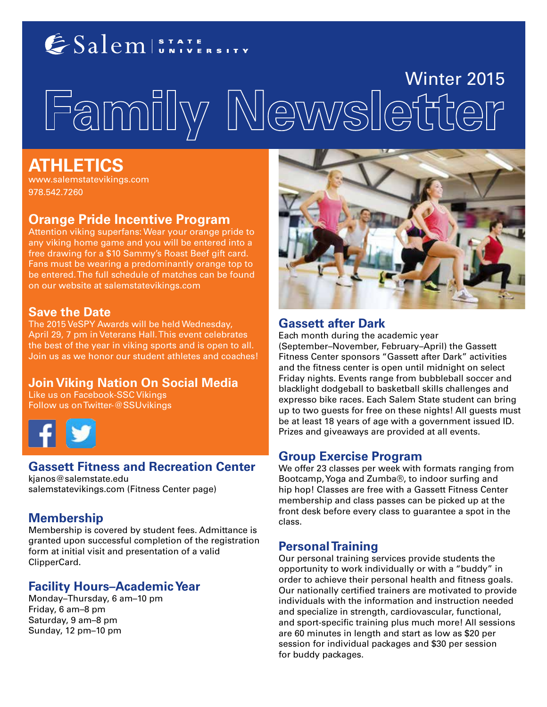## ESalem STATE

# Winter 2015<br>Familly Newsletter

### **ATHLETICS**

www.salemstatevikings.com 978.542.7260

#### **Orange Pride Incentive Program**

Attention viking superfans: Wear your orange pride to any viking home game and you will be entered into a free drawing for a \$10 Sammy's Roast Beef gift card. Fans must be wearing a predominantly orange top to be entered. The full schedule of matches can be found on our website at salemstatevikings.com

#### **Save the Date**

The 2015 VeSPY Awards will be held Wednesday, April 29, 7 pm in Veterans Hall. This event celebrates the best of the year in viking sports and is open to all. Join us as we honor our student athletes and coaches!

#### **Join Viking Nation On Social Media**

Like us on Facebook-SSC Vikings Follow us on Twitter-@SSUvikings



#### **Gassett Fitness and Recreation Center**

kjanos@salemstate.edu salemstatevikings.com (Fitness Center page)

#### **Membership**

Membership is covered by student fees. Admittance is granted upon successful completion of the registration form at initial visit and presentation of a valid ClipperCard.

#### **Facility Hours–Academic Year**

Monday–Thursday, 6 am–10 pm Friday, 6 am–8 pm Saturday, 9 am–8 pm Sunday, 12 pm–10 pm



#### **Gassett after Dark**

Each month during the academic year (September–November, February–April) the Gassett Fitness Center sponsors "Gassett after Dark" activities and the fitness center is open until midnight on select Friday nights. Events range from bubbleball soccer and blacklight dodgeball to basketball skills challenges and expresso bike races. Each Salem State student can bring up to two guests for free on these nights! All guests must be at least 18 years of age with a government issued ID. Prizes and giveaways are provided at all events.

#### **Group Exercise Program**

We offer 23 classes per week with formats ranging from Bootcamp, Yoga and Zumba®, to indoor surfing and hip hop! Classes are free with a Gassett Fitness Center membership and class passes can be picked up at the front desk before every class to guarantee a spot in the class.

#### **Personal Training**

Our personal training services provide students the opportunity to work individually or with a "buddy" in order to achieve their personal health and fitness goals. Our nationally certified trainers are motivated to provide individuals with the information and instruction needed and specialize in strength, cardiovascular, functional, and sport-specific training plus much more! All sessions are 60 minutes in length and start as low as \$20 per session for individual packages and \$30 per session for buddy packages.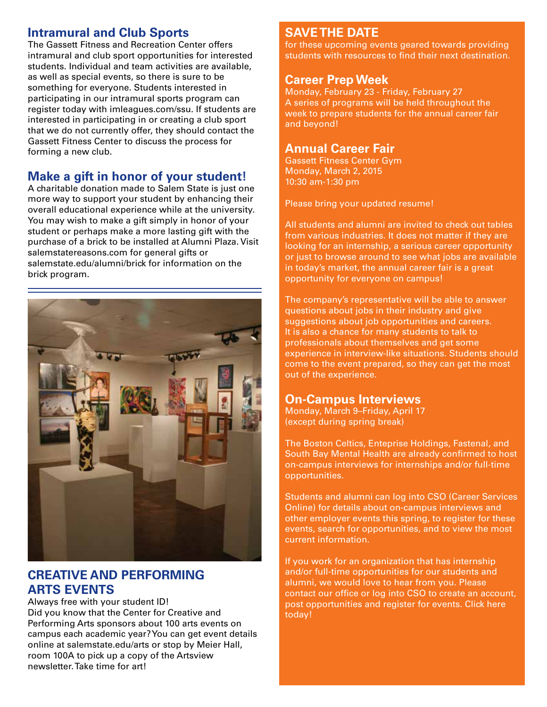#### **Intramural and Club Sports**

The Gassett Fitness and Recreation Center offers intramural and club sport opportunities for interested students. Individual and team activities are available, as well as special events, so there is sure to be something for everyone. Students interested in participating in our intramural sports program can register today with imleagues.com/ssu. If students are interested in participating in or creating a club sport that we do not currently offer, they should contact the Gassett Fitness Center to discuss the process for forming a new club.

#### **Make a gift in honor of your student!**

A charitable donation made to Salem State is just one more way to support your student by enhancing their overall educational experience while at the university. You may wish to make a gift simply in honor of your student or perhaps make a more lasting gift with the purchase of a brick to be installed at Alumni Plaza. Visit salemstatereasons.com for general gifts or salemstate.edu/alumni/brick for information on the brick program.



#### **CREATIVE AND PERFORMING ARTS EVENTS**

Always free with your student ID! Did you know that the Center for Creative and Performing Arts sponsors about 100 arts events on campus each academic year? You can get event details online at salemstate.edu/arts or stop by Meier Hall, room 100A to pick up a copy of the Artsview newsletter. Take time for art!

#### **SAVE THE DATE**

for these upcoming events geared towards providing students with resources to find their next destination.

#### **Career Prep Week**

Monday, February 23 - Friday, February 27 A series of programs will be held throughout the week to prepare students for the annual career fair and beyond!

#### **Annual Career Fair**

Gassett Fitness Center Gym Monday, March 2, 2015 10:30 am-1:30 pm

Please bring your updated resume!

All students and alumni are invited to check out tables from various industries. It does not matter if they are looking for an internship, a serious career opportunity or just to browse around to see what jobs are available in today's market, the annual career fair is a great opportunity for everyone on campus!

The company's representative will be able to answer questions about jobs in their industry and give suggestions about job opportunities and careers. It is also a chance for many students to talk to professionals about themselves and get some experience in interview-like situations. Students should come to the event prepared, so they can get the most out of the experience.

#### **On-Campus Interviews**

Monday, March 9–Friday, April 17 (except during spring break)

The Boston Celtics, Enteprise Holdings, Fastenal, and South Bay Mental Health are already confirmed to host on-campus interviews for internships and/or full-time opportunities.

Students and alumni can log into CSO (Career Services Online) for details about on-campus interviews and other employer events this spring, to register for these events, search for opportunities, and to view the most current information.

If you work for an organization that has internship and/or full-time opportunities for our students and alumni, we would love to hear from you. Please contact our office or log into CSO to create an account, post opportunities and register for events. Click here today!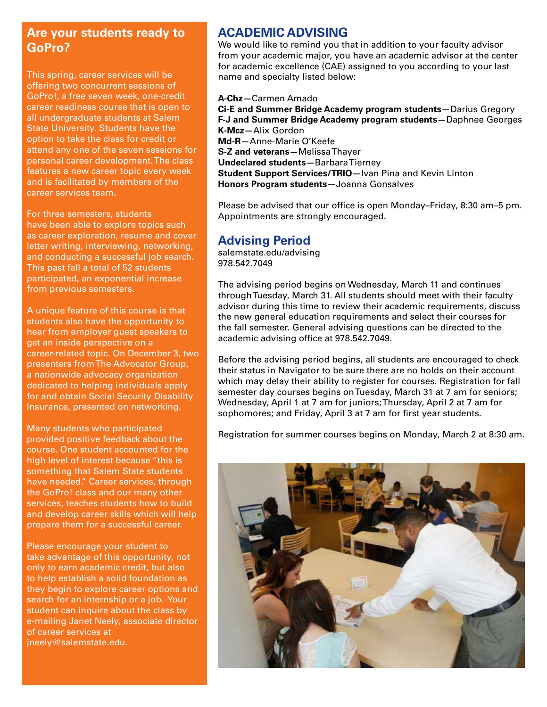#### **Are your students ready to GoPro?**

This spring, career services will be offering two concurrent sessions of GoPro!, a free seven week, one-credit career readiness course that is open to all undergraduate students at Salem State University. Students have the option to take the class for credit or attend any one of the seven sessions for personal career development. The class features a new career topic every week and is facilitated by members of the career services team.

For three semesters, students have been able to explore topics such as career exploration, resume and cover letter writing, interviewing, networking, and conducting a successful job search. This past fall a total of 52 students participated, an exponential increase from previous semesters.

A unique feature of this course is that students also have the opportunity to hear from employer guest speakers to get an inside perspective on a career-related topic. On December 3, two presenters from The Advocator Group, a nationwide advocacy organization dedicated to helping individuals apply for and obtain Social Security Disability Insurance, presented on networking.

Many students who participated provided positive feedback about the course. One student accounted for the high level of interest because "this is something that Salem State students have needed." Career services, through the GoPro! class and our many other services, teaches students how to build and develop career skills which will help prepare them for a successful career.

Please encourage your student to take advantage of this opportunity, not only to earn academic credit, but also to help establish a solid foundation as they begin to explore career options and search for an internship or a job. Your student can inquire about the class by e-mailing Janet Neely, associate director of career services at jneely@salemstate.edu.

#### **ACADEMIC ADVISING**

We would like to remind you that in addition to your faculty advisor from your academic major, you have an academic advisor at the center for academic excellence (CAE) assigned to you according to your last name and specialty listed below:

#### **A-Chz—**Carmen Amado

**Ci-E and Summer Bridge Academy program students—**Darius Gregory **F-J and Summer Bridge Academy program students—**Daphnee Georges **K-Mcz—**Alix Gordon **Md-R—**Anne-Marie O'Keefe **S-Z and veterans—**Melissa Thayer **Undeclared students—**Barbara Tierney **Student Support Services/TRIO—**Ivan Pina and Kevin Linton **Honors Program students—**Joanna Gonsalves

Please be advised that our office is open Monday–Friday, 8:30 am–5 pm. Appointments are strongly encouraged.

#### **Advising Period**

salemstate.edu/advising 978.542.7049

The advising period begins on Wednesday, March 11 and continues through Tuesday, March 31. All students should meet with their faculty advisor during this time to review their academic requirements, discuss the new general education requirements and select their courses for the fall semester. General advising questions can be directed to the academic advising office at 978.542.7049.

Before the advising period begins, all students are encouraged to check their status in Navigator to be sure there are no holds on their account which may delay their ability to register for courses. Registration for fall semester day courses begins on Tuesday, March 31 at 7 am for seniors; Wednesday, April 1 at 7 am for juniors; Thursday, April 2 at 7 am for sophomores; and Friday, April 3 at 7 am for first year students.

Registration for summer courses begins on Monday, March 2 at 8:30 am.

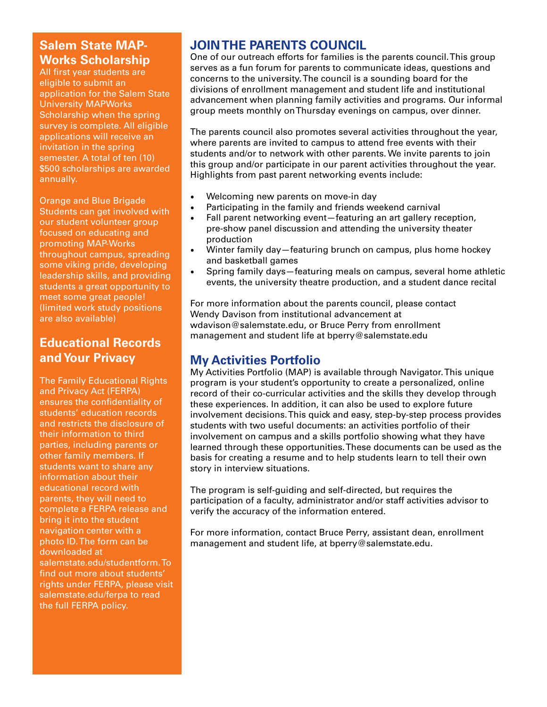#### **Salem State MAP-Works Scholarship**

All first year students are eligible to submit an application for the Salem State University MAPWorks Scholarship when the spring survey is complete. All eligible applications will receive an invitation in the spring semester. A total of ten (10) \$500 scholarships are awarded annually.

Orange and Blue Brigade Students can get involved with our student volunteer group focused on educating and promoting MAP-Works throughout campus, spreading some viking pride, developing leadership skills, and providing students a great opportunity to meet some great people! (limited work study positions are also available)

#### **Educational Records and Your Privacy**

The Family Educational Rights and Privacy Act (FERPA) ensures the confidentiality of students' education records and restricts the disclosure of their information to third parties, including parents or other family members. If students want to share any information about their educational record with parents, they will need to complete a FERPA release and bring it into the student navigation center with a photo ID. The form can be downloaded at salemstate.edu/studentform. To find out more about students' rights under FERPA, please visit salemstate.edu/ferpa to read the full FERPA policy.

#### **JOIN THE PARENTS COUNCIL**

One of our outreach efforts for families is the parents council. This group serves as a fun forum for parents to communicate ideas, questions and concerns to the university. The council is a sounding board for the divisions of enrollment management and student life and institutional advancement when planning family activities and programs. Our informal group meets monthly on Thursday evenings on campus, over dinner.

The parents council also promotes several activities throughout the year, where parents are invited to campus to attend free events with their students and/or to network with other parents. We invite parents to join this group and/or participate in our parent activities throughout the year. Highlights from past parent networking events include:

- Welcoming new parents on move-in day
- Participating in the family and friends weekend carnival
- Fall parent networking event-featuring an art gallery reception, pre-show panel discussion and attending the university theater production
- Winter family day—featuring brunch on campus, plus home hockey and basketball games
- Spring family days—featuring meals on campus, several home athletic events, the university theatre production, and a student dance recital

For more information about the parents council, please contact Wendy Davison from institutional advancement at wdavison@salemstate.edu, or Bruce Perry from enrollment management and student life at bperry@salemstate.edu

#### **My Activities Portfolio**

My Activities Portfolio (MAP) is available through Navigator. This unique program is your student's opportunity to create a personalized, online record of their co-curricular activities and the skills they develop through these experiences. In addition, it can also be used to explore future involvement decisions. This quick and easy, step-by-step process provides students with two useful documents: an activities portfolio of their involvement on campus and a skills portfolio showing what they have learned through these opportunities. These documents can be used as the basis for creating a resume and to help students learn to tell their own story in interview situations.

The program is self-guiding and self-directed, but requires the participation of a faculty, administrator and/or staff activities advisor to verify the accuracy of the information entered.

For more information, contact Bruce Perry, assistant dean, enrollment management and student life, at bperry@salemstate.edu.